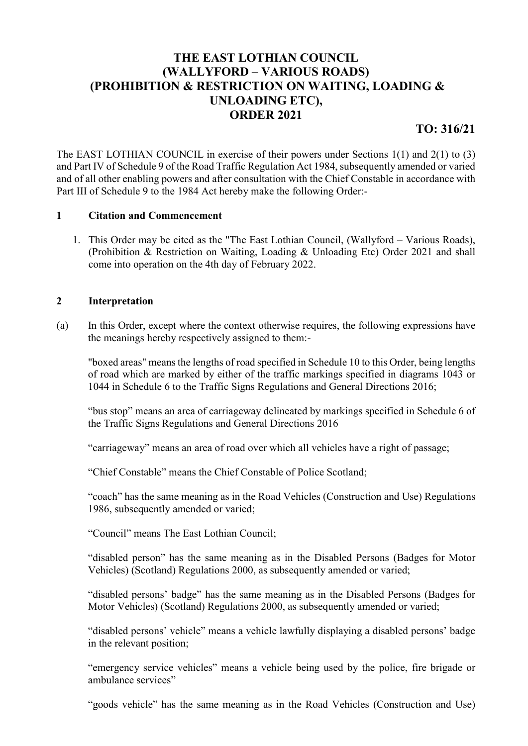# THE EAST LOTHIAN COUNCIL (WALLYFORD – VARIOUS ROADS) (PROHIBITION & RESTRICTION ON WAITING, LOADING & UNLOADING ETC), ORDER 2021

TO: 316/21

The EAST LOTHIAN COUNCIL in exercise of their powers under Sections 1(1) and 2(1) to (3) and Part IV of Schedule 9 of the Road Traffic Regulation Act 1984, subsequently amended or varied and of all other enabling powers and after consultation with the Chief Constable in accordance with Part III of Schedule 9 to the 1984 Act hereby make the following Order:-

### 1 Citation and Commencement

1. This Order may be cited as the "The East Lothian Council, (Wallyford – Various Roads), (Prohibition & Restriction on Waiting, Loading & Unloading Etc) Order 2021 and shall come into operation on the 4th day of February 2022.

### 2 Interpretation

(a) In this Order, except where the context otherwise requires, the following expressions have the meanings hereby respectively assigned to them:-

"boxed areas" means the lengths of road specified in Schedule 10 to this Order, being lengths of road which are marked by either of the traffic markings specified in diagrams 1043 or 1044 in Schedule 6 to the Traffic Signs Regulations and General Directions 2016;

"bus stop" means an area of carriageway delineated by markings specified in Schedule 6 of the Traffic Signs Regulations and General Directions 2016

"carriageway" means an area of road over which all vehicles have a right of passage;

"Chief Constable" means the Chief Constable of Police Scotland;

"coach" has the same meaning as in the Road Vehicles (Construction and Use) Regulations 1986, subsequently amended or varied;

"Council" means The East Lothian Council;

"disabled person" has the same meaning as in the Disabled Persons (Badges for Motor Vehicles) (Scotland) Regulations 2000, as subsequently amended or varied;

"disabled persons' badge" has the same meaning as in the Disabled Persons (Badges for Motor Vehicles) (Scotland) Regulations 2000, as subsequently amended or varied;

"disabled persons' vehicle" means a vehicle lawfully displaying a disabled persons' badge in the relevant position;

"emergency service vehicles" means a vehicle being used by the police, fire brigade or ambulance services"

"goods vehicle" has the same meaning as in the Road Vehicles (Construction and Use)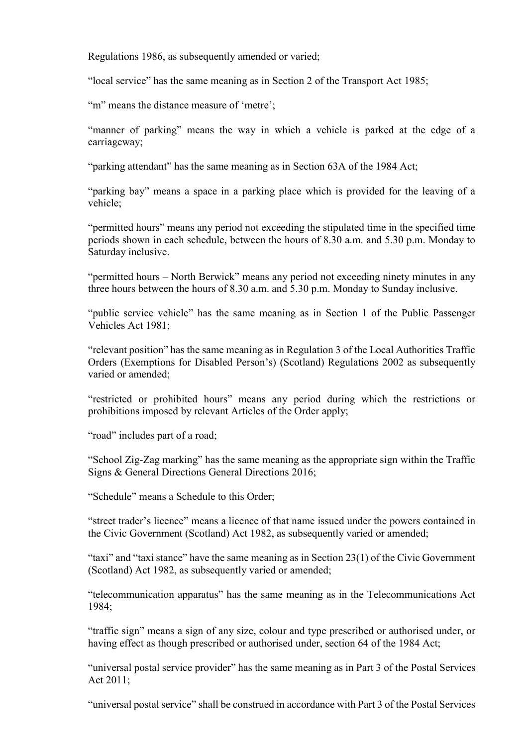Regulations 1986, as subsequently amended or varied;

"local service" has the same meaning as in Section 2 of the Transport Act 1985;

"m" means the distance measure of 'metre':

"manner of parking" means the way in which a vehicle is parked at the edge of a carriageway;

"parking attendant" has the same meaning as in Section 63A of the 1984 Act;

"parking bay" means a space in a parking place which is provided for the leaving of a vehicle;

"permitted hours" means any period not exceeding the stipulated time in the specified time periods shown in each schedule, between the hours of 8.30 a.m. and 5.30 p.m. Monday to Saturday inclusive.

"permitted hours – North Berwick" means any period not exceeding ninety minutes in any three hours between the hours of 8.30 a.m. and 5.30 p.m. Monday to Sunday inclusive.

"public service vehicle" has the same meaning as in Section 1 of the Public Passenger Vehicles Act 1981;

"relevant position" has the same meaning as in Regulation 3 of the Local Authorities Traffic Orders (Exemptions for Disabled Person's) (Scotland) Regulations 2002 as subsequently varied or amended;

"restricted or prohibited hours" means any period during which the restrictions or prohibitions imposed by relevant Articles of the Order apply;

"road" includes part of a road;

"School Zig-Zag marking" has the same meaning as the appropriate sign within the Traffic Signs & General Directions General Directions 2016;

"Schedule" means a Schedule to this Order;

"street trader's licence" means a licence of that name issued under the powers contained in the Civic Government (Scotland) Act 1982, as subsequently varied or amended;

"taxi" and "taxi stance" have the same meaning as in Section 23(1) of the Civic Government (Scotland) Act 1982, as subsequently varied or amended;

"telecommunication apparatus" has the same meaning as in the Telecommunications Act 1984;

"traffic sign" means a sign of any size, colour and type prescribed or authorised under, or having effect as though prescribed or authorised under, section 64 of the 1984 Act;

"universal postal service provider" has the same meaning as in Part 3 of the Postal Services Act 2011;

"universal postal service" shall be construed in accordance with Part 3 of the Postal Services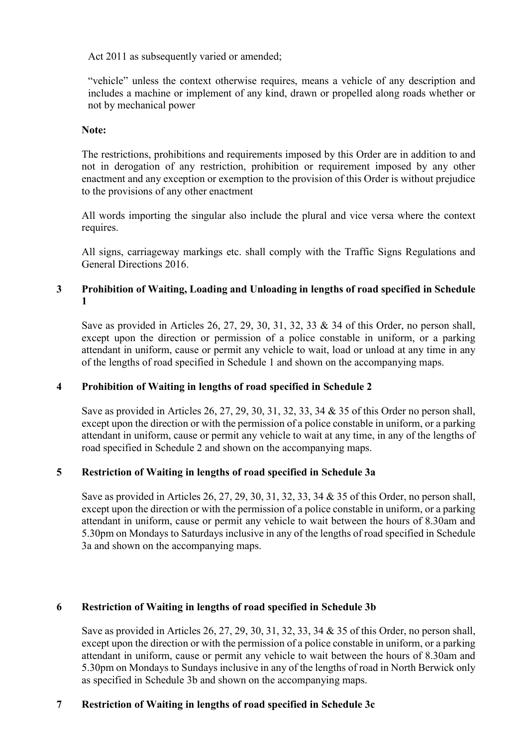Act 2011 as subsequently varied or amended:

"vehicle" unless the context otherwise requires, means a vehicle of any description and includes a machine or implement of any kind, drawn or propelled along roads whether or not by mechanical power

#### Note:

The restrictions, prohibitions and requirements imposed by this Order are in addition to and not in derogation of any restriction, prohibition or requirement imposed by any other enactment and any exception or exemption to the provision of this Order is without prejudice to the provisions of any other enactment

All words importing the singular also include the plural and vice versa where the context requires.

All signs, carriageway markings etc. shall comply with the Traffic Signs Regulations and General Directions 2016.

# 3 Prohibition of Waiting, Loading and Unloading in lengths of road specified in Schedule 1

Save as provided in Articles 26, 27, 29, 30, 31, 32, 33 & 34 of this Order, no person shall, except upon the direction or permission of a police constable in uniform, or a parking attendant in uniform, cause or permit any vehicle to wait, load or unload at any time in any of the lengths of road specified in Schedule 1 and shown on the accompanying maps.

# 4 Prohibition of Waiting in lengths of road specified in Schedule 2

Save as provided in Articles 26, 27, 29, 30, 31, 32, 33, 34 & 35 of this Order no person shall, except upon the direction or with the permission of a police constable in uniform, or a parking attendant in uniform, cause or permit any vehicle to wait at any time, in any of the lengths of road specified in Schedule 2 and shown on the accompanying maps.

# 5 Restriction of Waiting in lengths of road specified in Schedule 3a

Save as provided in Articles 26, 27, 29, 30, 31, 32, 33, 34 & 35 of this Order, no person shall, except upon the direction or with the permission of a police constable in uniform, or a parking attendant in uniform, cause or permit any vehicle to wait between the hours of 8.30am and 5.30pm on Mondays to Saturdays inclusive in any of the lengths of road specified in Schedule 3a and shown on the accompanying maps.

# 6 Restriction of Waiting in lengths of road specified in Schedule 3b

Save as provided in Articles 26, 27, 29, 30, 31, 32, 33, 34 & 35 of this Order, no person shall, except upon the direction or with the permission of a police constable in uniform, or a parking attendant in uniform, cause or permit any vehicle to wait between the hours of 8.30am and 5.30pm on Mondays to Sundays inclusive in any of the lengths of road in North Berwick only as specified in Schedule 3b and shown on the accompanying maps.

# 7 Restriction of Waiting in lengths of road specified in Schedule 3c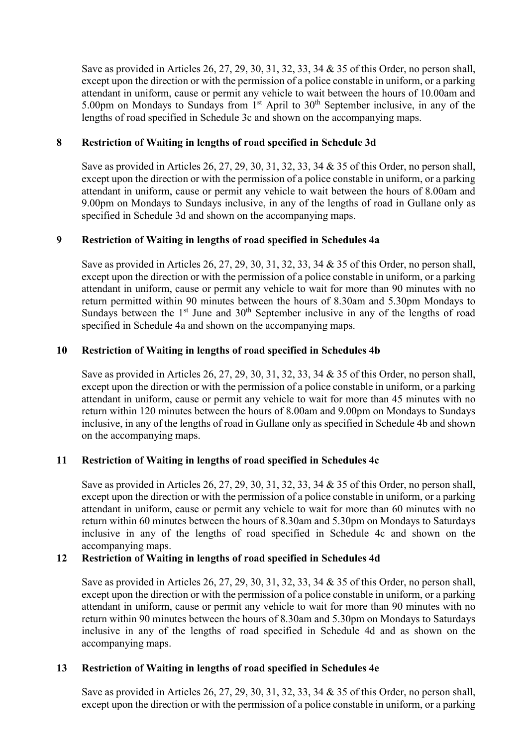Save as provided in Articles 26, 27, 29, 30, 31, 32, 33, 34 & 35 of this Order, no person shall, except upon the direction or with the permission of a police constable in uniform, or a parking attendant in uniform, cause or permit any vehicle to wait between the hours of 10.00am and 5.00pm on Mondays to Sundays from 1<sup>st</sup> April to 30<sup>th</sup> September inclusive, in any of the lengths of road specified in Schedule 3c and shown on the accompanying maps.

# 8 Restriction of Waiting in lengths of road specified in Schedule 3d

Save as provided in Articles 26, 27, 29, 30, 31, 32, 33, 34 & 35 of this Order, no person shall, except upon the direction or with the permission of a police constable in uniform, or a parking attendant in uniform, cause or permit any vehicle to wait between the hours of 8.00am and 9.00pm on Mondays to Sundays inclusive, in any of the lengths of road in Gullane only as specified in Schedule 3d and shown on the accompanying maps.

### 9 Restriction of Waiting in lengths of road specified in Schedules 4a

Save as provided in Articles 26, 27, 29, 30, 31, 32, 33, 34 & 35 of this Order, no person shall, except upon the direction or with the permission of a police constable in uniform, or a parking attendant in uniform, cause or permit any vehicle to wait for more than 90 minutes with no return permitted within 90 minutes between the hours of 8.30am and 5.30pm Mondays to Sundays between the  $1<sup>st</sup>$  June and  $30<sup>th</sup>$  September inclusive in any of the lengths of road specified in Schedule 4a and shown on the accompanying maps.

### 10 Restriction of Waiting in lengths of road specified in Schedules 4b

Save as provided in Articles 26, 27, 29, 30, 31, 32, 33, 34 & 35 of this Order, no person shall, except upon the direction or with the permission of a police constable in uniform, or a parking attendant in uniform, cause or permit any vehicle to wait for more than 45 minutes with no return within 120 minutes between the hours of 8.00am and 9.00pm on Mondays to Sundays inclusive, in any of the lengths of road in Gullane only as specified in Schedule 4b and shown on the accompanying maps.

#### 11 Restriction of Waiting in lengths of road specified in Schedules 4c

Save as provided in Articles 26, 27, 29, 30, 31, 32, 33, 34 & 35 of this Order, no person shall, except upon the direction or with the permission of a police constable in uniform, or a parking attendant in uniform, cause or permit any vehicle to wait for more than 60 minutes with no return within 60 minutes between the hours of 8.30am and 5.30pm on Mondays to Saturdays inclusive in any of the lengths of road specified in Schedule 4c and shown on the accompanying maps.

#### 12 Restriction of Waiting in lengths of road specified in Schedules 4d

Save as provided in Articles 26, 27, 29, 30, 31, 32, 33, 34 & 35 of this Order, no person shall, except upon the direction or with the permission of a police constable in uniform, or a parking attendant in uniform, cause or permit any vehicle to wait for more than 90 minutes with no return within 90 minutes between the hours of 8.30am and 5.30pm on Mondays to Saturdays inclusive in any of the lengths of road specified in Schedule 4d and as shown on the accompanying maps.

#### 13 Restriction of Waiting in lengths of road specified in Schedules 4e

Save as provided in Articles 26, 27, 29, 30, 31, 32, 33, 34 & 35 of this Order, no person shall, except upon the direction or with the permission of a police constable in uniform, or a parking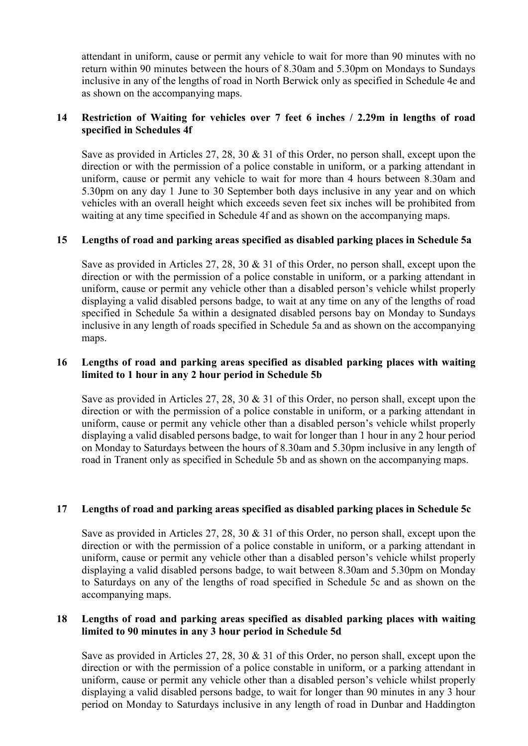attendant in uniform, cause or permit any vehicle to wait for more than 90 minutes with no return within 90 minutes between the hours of 8.30am and 5.30pm on Mondays to Sundays inclusive in any of the lengths of road in North Berwick only as specified in Schedule 4e and as shown on the accompanying maps.

### 14 Restriction of Waiting for vehicles over 7 feet 6 inches / 2.29m in lengths of road specified in Schedules 4f

Save as provided in Articles 27, 28, 30 & 31 of this Order, no person shall, except upon the direction or with the permission of a police constable in uniform, or a parking attendant in uniform, cause or permit any vehicle to wait for more than 4 hours between 8.30am and 5.30pm on any day 1 June to 30 September both days inclusive in any year and on which vehicles with an overall height which exceeds seven feet six inches will be prohibited from waiting at any time specified in Schedule 4f and as shown on the accompanying maps.

# 15 Lengths of road and parking areas specified as disabled parking places in Schedule 5a

Save as provided in Articles 27, 28, 30 & 31 of this Order, no person shall, except upon the direction or with the permission of a police constable in uniform, or a parking attendant in uniform, cause or permit any vehicle other than a disabled person's vehicle whilst properly displaying a valid disabled persons badge, to wait at any time on any of the lengths of road specified in Schedule 5a within a designated disabled persons bay on Monday to Sundays inclusive in any length of roads specified in Schedule 5a and as shown on the accompanying maps.

### 16 Lengths of road and parking areas specified as disabled parking places with waiting limited to 1 hour in any 2 hour period in Schedule 5b

Save as provided in Articles 27, 28, 30 & 31 of this Order, no person shall, except upon the direction or with the permission of a police constable in uniform, or a parking attendant in uniform, cause or permit any vehicle other than a disabled person's vehicle whilst properly displaying a valid disabled persons badge, to wait for longer than 1 hour in any 2 hour period on Monday to Saturdays between the hours of 8.30am and 5.30pm inclusive in any length of road in Tranent only as specified in Schedule 5b and as shown on the accompanying maps.

# 17 Lengths of road and parking areas specified as disabled parking places in Schedule 5c

Save as provided in Articles 27, 28, 30 & 31 of this Order, no person shall, except upon the direction or with the permission of a police constable in uniform, or a parking attendant in uniform, cause or permit any vehicle other than a disabled person's vehicle whilst properly displaying a valid disabled persons badge, to wait between 8.30am and 5.30pm on Monday to Saturdays on any of the lengths of road specified in Schedule 5c and as shown on the accompanying maps.

### 18 Lengths of road and parking areas specified as disabled parking places with waiting limited to 90 minutes in any 3 hour period in Schedule 5d

Save as provided in Articles 27, 28, 30 & 31 of this Order, no person shall, except upon the direction or with the permission of a police constable in uniform, or a parking attendant in uniform, cause or permit any vehicle other than a disabled person's vehicle whilst properly displaying a valid disabled persons badge, to wait for longer than 90 minutes in any 3 hour period on Monday to Saturdays inclusive in any length of road in Dunbar and Haddington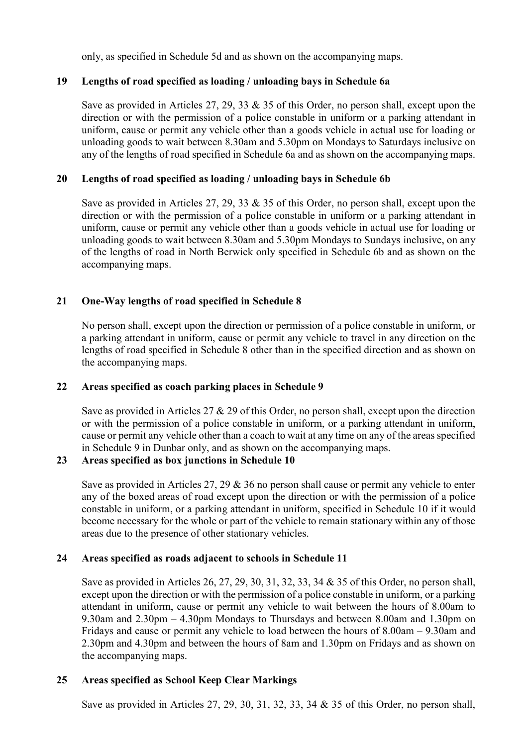only, as specified in Schedule 5d and as shown on the accompanying maps.

# 19 Lengths of road specified as loading / unloading bays in Schedule 6a

Save as provided in Articles 27, 29, 33 & 35 of this Order, no person shall, except upon the direction or with the permission of a police constable in uniform or a parking attendant in uniform, cause or permit any vehicle other than a goods vehicle in actual use for loading or unloading goods to wait between 8.30am and 5.30pm on Mondays to Saturdays inclusive on any of the lengths of road specified in Schedule 6a and as shown on the accompanying maps.

## 20 Lengths of road specified as loading / unloading bays in Schedule 6b

Save as provided in Articles 27, 29, 33 & 35 of this Order, no person shall, except upon the direction or with the permission of a police constable in uniform or a parking attendant in uniform, cause or permit any vehicle other than a goods vehicle in actual use for loading or unloading goods to wait between 8.30am and 5.30pm Mondays to Sundays inclusive, on any of the lengths of road in North Berwick only specified in Schedule 6b and as shown on the accompanying maps.

# 21 One-Way lengths of road specified in Schedule 8

No person shall, except upon the direction or permission of a police constable in uniform, or a parking attendant in uniform, cause or permit any vehicle to travel in any direction on the lengths of road specified in Schedule 8 other than in the specified direction and as shown on the accompanying maps.

#### 22 Areas specified as coach parking places in Schedule 9

Save as provided in Articles 27 & 29 of this Order, no person shall, except upon the direction or with the permission of a police constable in uniform, or a parking attendant in uniform, cause or permit any vehicle other than a coach to wait at any time on any of the areas specified in Schedule 9 in Dunbar only, and as shown on the accompanying maps.

#### 23 Areas specified as box junctions in Schedule 10

Save as provided in Articles 27, 29 & 36 no person shall cause or permit any vehicle to enter any of the boxed areas of road except upon the direction or with the permission of a police constable in uniform, or a parking attendant in uniform, specified in Schedule 10 if it would become necessary for the whole or part of the vehicle to remain stationary within any of those areas due to the presence of other stationary vehicles.

#### 24 Areas specified as roads adjacent to schools in Schedule 11

Save as provided in Articles 26, 27, 29, 30, 31, 32, 33, 34 & 35 of this Order, no person shall, except upon the direction or with the permission of a police constable in uniform, or a parking attendant in uniform, cause or permit any vehicle to wait between the hours of 8.00am to 9.30am and 2.30pm – 4.30pm Mondays to Thursdays and between 8.00am and 1.30pm on Fridays and cause or permit any vehicle to load between the hours of 8.00am – 9.30am and 2.30pm and 4.30pm and between the hours of 8am and 1.30pm on Fridays and as shown on the accompanying maps.

# 25 Areas specified as School Keep Clear Markings

Save as provided in Articles 27, 29, 30, 31, 32, 33, 34 & 35 of this Order, no person shall,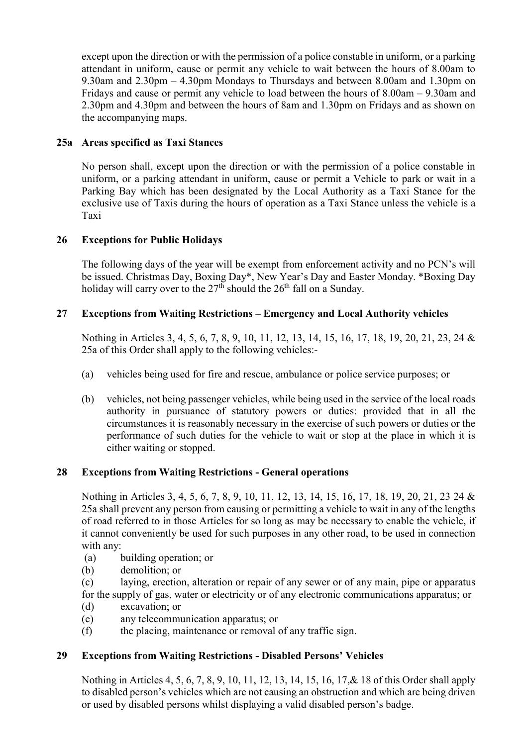except upon the direction or with the permission of a police constable in uniform, or a parking attendant in uniform, cause or permit any vehicle to wait between the hours of 8.00am to 9.30am and 2.30pm – 4.30pm Mondays to Thursdays and between 8.00am and 1.30pm on Fridays and cause or permit any vehicle to load between the hours of 8.00am – 9.30am and 2.30pm and 4.30pm and between the hours of 8am and 1.30pm on Fridays and as shown on the accompanying maps.

# 25a Areas specified as Taxi Stances

No person shall, except upon the direction or with the permission of a police constable in uniform, or a parking attendant in uniform, cause or permit a Vehicle to park or wait in a Parking Bay which has been designated by the Local Authority as a Taxi Stance for the exclusive use of Taxis during the hours of operation as a Taxi Stance unless the vehicle is a Taxi

# 26 Exceptions for Public Holidays

The following days of the year will be exempt from enforcement activity and no PCN's will be issued. Christmas Day, Boxing Day\*, New Year's Day and Easter Monday. \*Boxing Day holiday will carry over to the  $27<sup>th</sup>$  should the  $26<sup>th</sup>$  fall on a Sunday.

# 27 Exceptions from Waiting Restrictions – Emergency and Local Authority vehicles

Nothing in Articles 3, 4, 5, 6, 7, 8, 9, 10, 11, 12, 13, 14, 15, 16, 17, 18, 19, 20, 21, 23, 24 & 25a of this Order shall apply to the following vehicles:-

- (a) vehicles being used for fire and rescue, ambulance or police service purposes; or
- (b) vehicles, not being passenger vehicles, while being used in the service of the local roads authority in pursuance of statutory powers or duties: provided that in all the circumstances it is reasonably necessary in the exercise of such powers or duties or the performance of such duties for the vehicle to wait or stop at the place in which it is either waiting or stopped.

# 28 Exceptions from Waiting Restrictions - General operations

Nothing in Articles 3, 4, 5, 6, 7, 8, 9, 10, 11, 12, 13, 14, 15, 16, 17, 18, 19, 20, 21, 23 24 & 25a shall prevent any person from causing or permitting a vehicle to wait in any of the lengths of road referred to in those Articles for so long as may be necessary to enable the vehicle, if it cannot conveniently be used for such purposes in any other road, to be used in connection with any:

- (a) building operation; or
- (b) demolition; or

(c) laying, erection, alteration or repair of any sewer or of any main, pipe or apparatus for the supply of gas, water or electricity or of any electronic communications apparatus; or

- (d) excavation; or
- (e) any telecommunication apparatus; or
- (f) the placing, maintenance or removal of any traffic sign.

# 29 Exceptions from Waiting Restrictions - Disabled Persons' Vehicles

Nothing in Articles 4, 5, 6, 7, 8, 9, 10, 11, 12, 13, 14, 15, 16, 17,& 18 of this Order shall apply to disabled person's vehicles which are not causing an obstruction and which are being driven or used by disabled persons whilst displaying a valid disabled person's badge.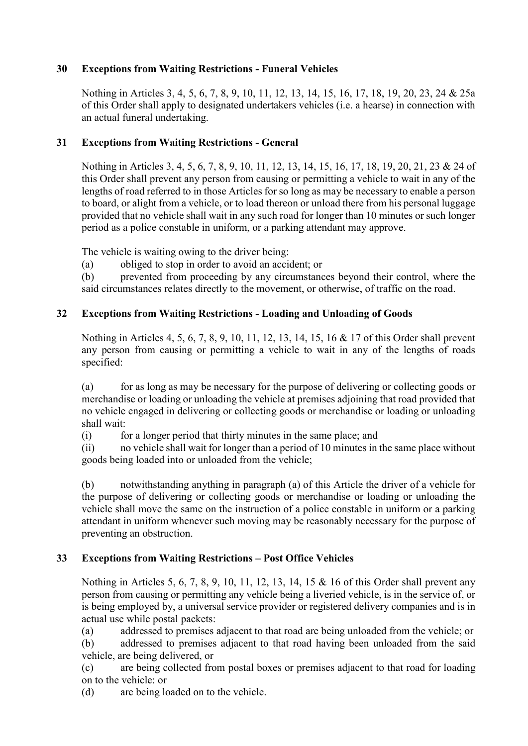# 30 Exceptions from Waiting Restrictions - Funeral Vehicles

Nothing in Articles 3, 4, 5, 6, 7, 8, 9, 10, 11, 12, 13, 14, 15, 16, 17, 18, 19, 20, 23, 24 & 25a of this Order shall apply to designated undertakers vehicles (i.e. a hearse) in connection with an actual funeral undertaking.

# 31 Exceptions from Waiting Restrictions - General

Nothing in Articles 3, 4, 5, 6, 7, 8, 9, 10, 11, 12, 13, 14, 15, 16, 17, 18, 19, 20, 21, 23 & 24 of this Order shall prevent any person from causing or permitting a vehicle to wait in any of the lengths of road referred to in those Articles for so long as may be necessary to enable a person to board, or alight from a vehicle, or to load thereon or unload there from his personal luggage provided that no vehicle shall wait in any such road for longer than 10 minutes or such longer period as a police constable in uniform, or a parking attendant may approve.

The vehicle is waiting owing to the driver being:

(a) obliged to stop in order to avoid an accident; or

(b) prevented from proceeding by any circumstances beyond their control, where the said circumstances relates directly to the movement, or otherwise, of traffic on the road.

# 32 Exceptions from Waiting Restrictions - Loading and Unloading of Goods

Nothing in Articles 4, 5, 6, 7, 8, 9, 10, 11, 12, 13, 14, 15, 16 & 17 of this Order shall prevent any person from causing or permitting a vehicle to wait in any of the lengths of roads specified:

(a) for as long as may be necessary for the purpose of delivering or collecting goods or merchandise or loading or unloading the vehicle at premises adjoining that road provided that no vehicle engaged in delivering or collecting goods or merchandise or loading or unloading shall wait:

(i) for a longer period that thirty minutes in the same place; and

(ii) no vehicle shall wait for longer than a period of 10 minutes in the same place without goods being loaded into or unloaded from the vehicle;

(b) notwithstanding anything in paragraph (a) of this Article the driver of a vehicle for the purpose of delivering or collecting goods or merchandise or loading or unloading the vehicle shall move the same on the instruction of a police constable in uniform or a parking attendant in uniform whenever such moving may be reasonably necessary for the purpose of preventing an obstruction.

# 33 Exceptions from Waiting Restrictions – Post Office Vehicles

 Nothing in Articles 5, 6, 7, 8, 9, 10, 11, 12, 13, 14, 15 & 16 of this Order shall prevent any person from causing or permitting any vehicle being a liveried vehicle, is in the service of, or is being employed by, a universal service provider or registered delivery companies and is in actual use while postal packets:

(a) addressed to premises adjacent to that road are being unloaded from the vehicle; or

(b) addressed to premises adjacent to that road having been unloaded from the said vehicle, are being delivered, or

(c) are being collected from postal boxes or premises adjacent to that road for loading on to the vehicle: or

(d) are being loaded on to the vehicle.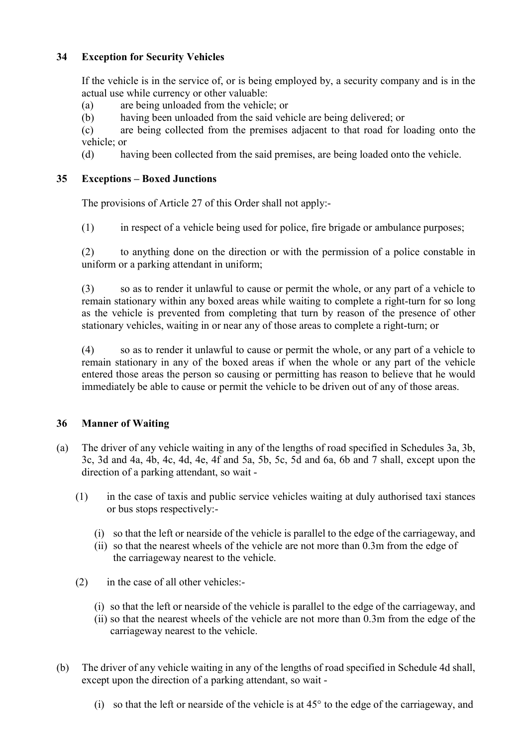# 34 Exception for Security Vehicles

 If the vehicle is in the service of, or is being employed by, a security company and is in the actual use while currency or other valuable:

- (a) are being unloaded from the vehicle; or
- (b) having been unloaded from the said vehicle are being delivered; or

(c) are being collected from the premises adjacent to that road for loading onto the vehicle; or

(d) having been collected from the said premises, are being loaded onto the vehicle.

# 35 Exceptions – Boxed Junctions

The provisions of Article 27 of this Order shall not apply:-

(1) in respect of a vehicle being used for police, fire brigade or ambulance purposes;

 (2) to anything done on the direction or with the permission of a police constable in uniform or a parking attendant in uniform;

 (3) so as to render it unlawful to cause or permit the whole, or any part of a vehicle to remain stationary within any boxed areas while waiting to complete a right-turn for so long as the vehicle is prevented from completing that turn by reason of the presence of other stationary vehicles, waiting in or near any of those areas to complete a right-turn; or

 (4) so as to render it unlawful to cause or permit the whole, or any part of a vehicle to remain stationary in any of the boxed areas if when the whole or any part of the vehicle entered those areas the person so causing or permitting has reason to believe that he would immediately be able to cause or permit the vehicle to be driven out of any of those areas.

# 36 Manner of Waiting

- (a) The driver of any vehicle waiting in any of the lengths of road specified in Schedules 3a, 3b, 3c, 3d and 4a, 4b, 4c, 4d, 4e, 4f and 5a, 5b, 5c, 5d and 6a, 6b and 7 shall, except upon the direction of a parking attendant, so wait -
	- (1) in the case of taxis and public service vehicles waiting at duly authorised taxi stances or bus stops respectively:-
		- (i) so that the left or nearside of the vehicle is parallel to the edge of the carriageway, and
		- (ii) so that the nearest wheels of the vehicle are not more than 0.3m from the edge of the carriageway nearest to the vehicle.
	- (2) in the case of all other vehicles:-
		- (i) so that the left or nearside of the vehicle is parallel to the edge of the carriageway, and
		- (ii) so that the nearest wheels of the vehicle are not more than 0.3m from the edge of the carriageway nearest to the vehicle.
- (b) The driver of any vehicle waiting in any of the lengths of road specified in Schedule 4d shall, except upon the direction of a parking attendant, so wait -
	- (i) so that the left or nearside of the vehicle is at 45° to the edge of the carriageway, and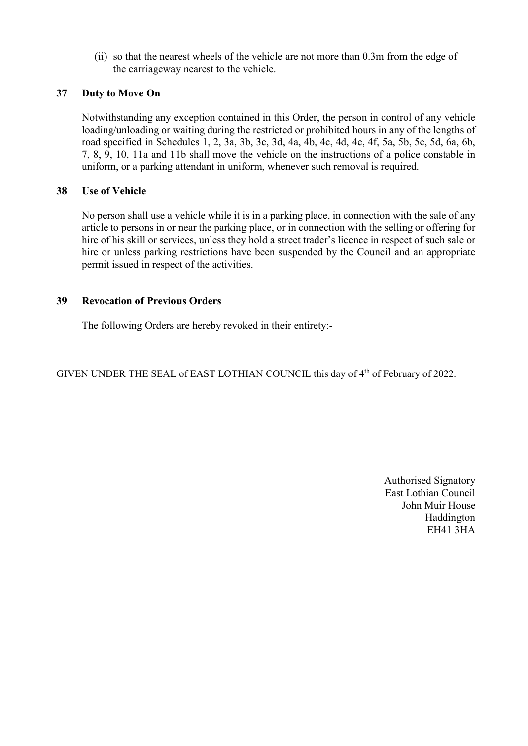(ii) so that the nearest wheels of the vehicle are not more than 0.3m from the edge of the carriageway nearest to the vehicle.

# 37 Duty to Move On

Notwithstanding any exception contained in this Order, the person in control of any vehicle loading/unloading or waiting during the restricted or prohibited hours in any of the lengths of road specified in Schedules 1, 2, 3a, 3b, 3c, 3d, 4a, 4b, 4c, 4d, 4e, 4f, 5a, 5b, 5c, 5d, 6a, 6b, 7, 8, 9, 10, 11a and 11b shall move the vehicle on the instructions of a police constable in uniform, or a parking attendant in uniform, whenever such removal is required.

# 38 Use of Vehicle

No person shall use a vehicle while it is in a parking place, in connection with the sale of any article to persons in or near the parking place, or in connection with the selling or offering for hire of his skill or services, unless they hold a street trader's licence in respect of such sale or hire or unless parking restrictions have been suspended by the Council and an appropriate permit issued in respect of the activities.

# 39 Revocation of Previous Orders

The following Orders are hereby revoked in their entirety:-

GIVEN UNDER THE SEAL of EAST LOTHIAN COUNCIL this day of 4<sup>th</sup> of February of 2022.

Authorised Signatory East Lothian Council John Muir House Haddington EH41 3HA